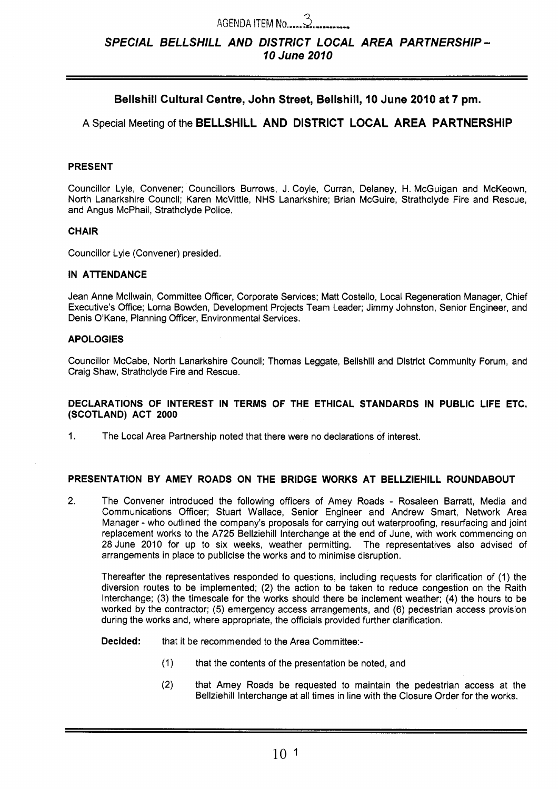# AGENDA ITEM NO.^.^^^^^^...-.^-^^ *3 SPECIAL BELLSHILL AND DISTRICT LOCAL AREA PARTNERSHIP* - *70June2070*

## **Bellshill Cultural Centre, John Street, Bellshill, 10 June 2010 at 7 pm.**

## **A** Special Meeting of the **BELLSHILL AND DISTRICT LOCAL AREA PARTNERSHIP**

#### **PRESENT**

Councillor Lyle, Convener; Councillors Burrows, J. Coyle, Curran, Delaney, H. McGuigan and McKeown, North Lanarkshire Council; Karen McVittie, NHS Lanarkshire; Brian McGuire, Strathclyde Fire and Rescue, and Angus McPhail, Strathclyde Police.

#### **CHAIR**

Councillor Lyle (Convener) presided.

#### **IN ATTENDANCE**

Jean Anne Mcllwain, Committee Officer, Corporate Services; Matt Costello, Local Regeneration Manager, Chief Executive's Office; Lorna Bowden, Development Projects Team Leader; Jimmy Johnston, Senior Engineer, and Denis O'Kane, Planning Officer, Environmental Services.

#### **APOLOGIES**

Councillor McCabe, North Lanarkshire Council; Thomas Leggate, Bellshill and District Community Forum, and Craig Shaw, Strathclyde Fire and Rescue.

#### **DECLARATIONS OF INTEREST IN TERMS OF THE ETHICAL STANDARDS IN PUBLIC LIFE ETC. (SCOTLAND) ACT 2000**

1. The Local Area Partnership noted that there were no declarations of interest.

#### **PRESENTATION BY AMEY ROADS ON THE BRIDGE WORKS AT BELLZIEHILL ROUNDABOUT**

2. The Convener introduced the following officers of Amey Roads - Rosaleen Barratt, Media and Communications Officer; Stuart Wallace, Senior Engineer and Andrew Smart, Network Area Manager - who outlined the company's proposals for carrying out waterproofing, resurfacing and joint replacement works to the A725 Bellziehill Interchange at the end of June, with work commencing on 28 June 2010 for up to six weeks, weather permitting. The representatives also advised of arrangements in place to publicise the works and to minimise disruption.

Thereafter the representatives responded to questions, including requests for clarification of (1 ) the diversion routes to be implemented; **(2)** the action to be taken to reduce congestion on the Raith Interchange; (3) the timescale for the works should there be inclement weather; **(4)** the hours to be worked by the contractor; (5) emergency access arrangements, and (6) pedestrian access provision during the works and, where appropriate, the officials provided further clarification.

**Decided:** that it be recommended to the Area Committee:-

- (1) that the contents of the presentation be noted, and
- **(2)** that Amey Roads be requested to maintain the pedestrian access at the Bellziehill Interchange at all times in line with the Closure Order for the works.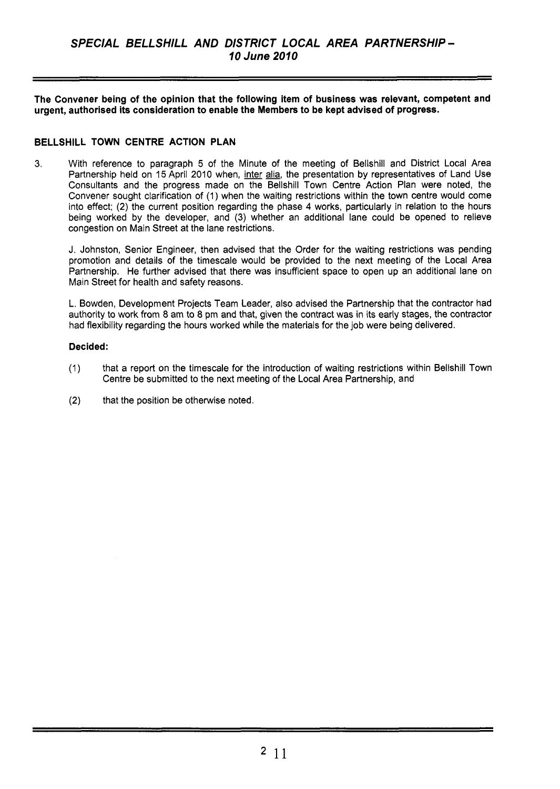**The Convener being of the opinion that the following item of business was relevant, competent and urgent, authorised its consideration to enable the Members to be kept advised of progress.** 

## **BELLSHILL TOWN CENTRE ACTION PLAN**

**3.** With reference to paragraph 5 of the Minute of the meeting of Bellshill and District Local Area Partnership held on 15 April 2010 when, inter alia, the presentation by representatives of Land Use Consultants and the progress made on the Bellshill Town Centre Action Plan were noted, the Convener sought clarification of (1) when the waiting restrictions within the town centre would come into effect; (2) the current position regarding the phase **4** works, particularly in relation to the hours being worked by the developer, and (3) whether an additional lane could be opened to relieve congestion on Main Street at the lane restrictions.

J. Johnston, Senior Engineer, then advised that the Order for the waiting restrictions was pending promotion and details of the timescale would be provided to the next meeting of the Local Area Partnership. He further advised that there was insufficient space to open up an additional lane on Main Street for health and safety reasons.

L. Bowden, Development Projects Team Leader, also advised the Partnership that the contractor had authority to work from 8 am to 8 pm and that, given the contract was in its early stages, the contractor had flexibility regarding the hours worked while the materials for the job were being delivered.

## **Decided:**

- (1) that a report on the timescale for the introduction of waiting restrictions within Bellshill Town Centre be submitted to the next meeting of the Local Area Partnership, and
- (2) that the position be otherwise noted.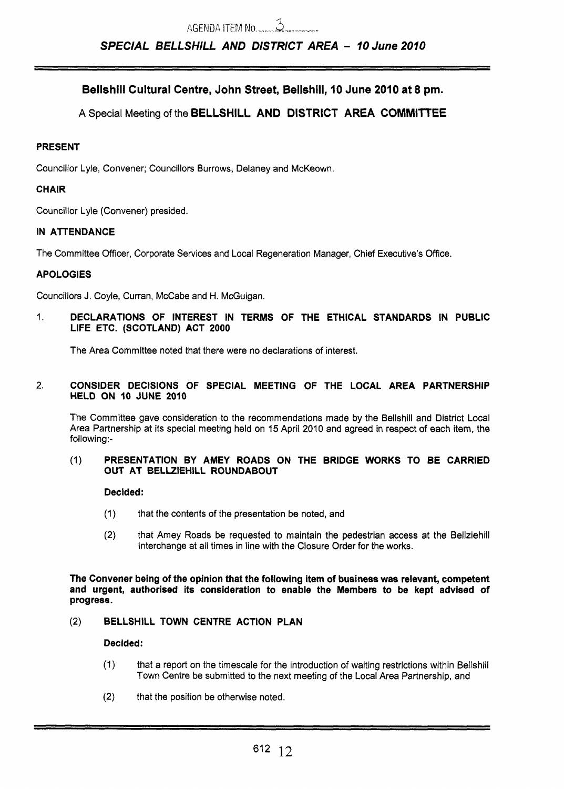## Bellshill Cultural Centre, John Street, Bellshill, **I0** June 2010 at 8 pm.

**A** Special Meeting of the BELLSHILL AND DISTRICT AREA COMMITTEE

## PRESENT

Councillor Lyle, Convener; Councillors Burrows, Delaney and McKeown.

## CHAIR

Councillor Lyle (Convener) presided.

## IN ATTENDANCE

The Committee Officer, Corporate Services and Local Regeneration Manager, Chief Executive's Office.

## APOLOGIES

Councillors J. Coyle, Curran, McCabe and H. McGuigan.

1. DECLARATIONS OF INTEREST IN TERMS OF THE ETHICAL STANDARDS IN PUBLIC LIFE ETC. (SCOTLAND) ACT 2000

The Area Committee noted that there were no declarations of interest.

#### 2. CONSIDER DECISIONS **OF** SPECIAL MEETING OF THE LOCAL AREA PARTNERSHIP HELD ON **I0** JUNE 2010

The Committee gave consideration to the recommendations made by the Bellshill and District Local Area Partnership at its special meeting held on **15** April 2010 and agreed in respect of each item, the following:-

#### (1) PRESENTATION BY AMEY ROADS ON THE BRIDGE WORKS TO BE CARRIED OUT AT BELLZIEHILL ROUNDABOUT

#### Decided:

- (1) that the contents of the presentation be noted, and
- **(2)** that Amey Roads be requested to maintain the pedestrian access at the Bellziehill Interchange at all times in line with the Closure Order for the works.

The Convener being of the opinion that the following item of business was relevant, competent and urgent, authorised its consideration to enable the Members to be kept advised of progress.

### **(2)** BELLSHILL TOWN CENTRE ACTION PLAN

### Decided:

- (1) that a report on the timescale for the introduction of waiting restrictions within Bellshill Town Centre be submitted to the next meeting of the Local Area Partnership, and
- **(2)**  that the position be otherwise noted.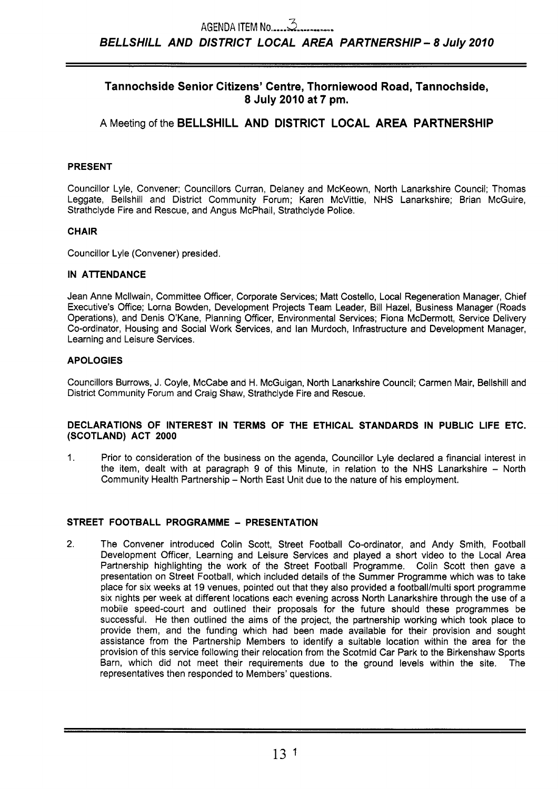## **Tannochside Senior Citizens' Centre, Thorniewood Road, Tannochside, 8 July 2010 at 7 pm.**

## **A** Meeting of the **BELLSHILL AND DISTRICT LOCAL AREA PARTNERSHIP**

## **PRESENT**

Councillor Lyle, Convener; Councillors Curran, Delaney and McKeown, North Lanarkshire Council; Thomas Leggate, Bellshill and District Community Forum; Karen McVittie, NHS Lanarkshire; Brian McGuire, Strathclyde Fire and Rescue, and Angus McPhail, Strathclyde Police.

## **CHAIR**

Councillor Lyle (Convener) presided.

## **IN ATTENDANCE**

Jean Anne Mcllwain, Committee Officer, Corporate Services; Matt Costello, Local Regeneration Manager, Chief Executive's Office; Lorna Bowden, Development Projects Team Leader, Bill Hazel, Business Manager (Roads Operations), and Denis O'Kane, Planning Officer, Environmental Services; Fiona McDermott, Service Delivery Co-ordinator, Housing and Social Work Services, and lan Murdoch, Infrastructure and Development Manager, Learning and Leisure Services.

## **APOLOGIES**

Councillors Burrows, J. Coyle, McCabe and H. McGuigan, North Lanarkshire Council; Carmen Mair, Bellshill and District Community Forum and Craig Shaw, Strathclyde Fire and Rescue.

#### **DECLARATIONS OF INTEREST IN TERMS OF THE ETHICAL STANDARDS IN PUBLIC LIFE ETC. (SCOTLAND) ACT 2000**

1. Prior to consideration of the business on the agenda, Councillor Lyle declared a financial interest in the item, dealt with at paragraph 9 of this Minute, in relation to the NHS Lanarkshire - North Community Health Partnership - North East Unit due to the nature of his employment.

## **STREET FOOTBALL PROGRAMME** - **PRESENTATION**

**2.** The Convener introduced Colin Scott, Street Football Co-ordinator, and Andy Smith, Football Development Officer, Learning and Leisure Services and played a short video to the Local Area Partnership highlighting the work of the Street Football Programme. Colin Scott then gave a presentation on Street Football, which included details of the Summer Programme which was to take place for six weeks at 19 venues, pointed out that they also provided a football/multi sport programme six nights per week at different locations each evening across North Lanarkshire through the use of a mobile speed-court and outlined their proposals for the future should these programmes be successful. He then outlined the aims of the project, the partnership working which took place to provide them, and the funding which had been made available for their provision and sought assistance from the Partnership Members to identify a suitable location within the area for the provision of this service following their relocation from the Scotmid Car Park to the Birkenshaw Sports Barn, which did not meet their requirements due to the ground levels within the site. The representatives then responded to Members' questions.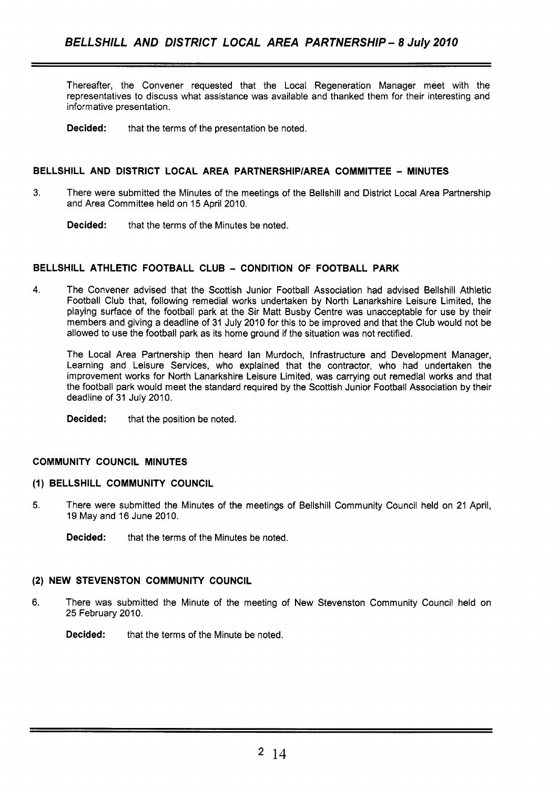Thereafter, the Convener requested that the Local Regeneration Manager meet with the representatives to discuss what assistance was available and thanked them for their interesting and informative presentation.

**Decided:** that the terms of the presentation be noted.

#### **BELLSHILL AND DISTRICT LOCAL AREA PARTNERSHlPlAREA COMMITTEE** - **MINUTES**

3. There were submitted the Minutes of the meetings of the Bellshill and District Local Area Partnership and Area Committee held on 15 April 2010.

**Decided:** that the terms of the Minutes be noted.

## **BELLSHILL ATHLETIC FOOTBALL CLUB** - **CONDITION OF FOOTBALL PARK**

**4.** The Convener advised that the Scottish Junior Football Association had advised Bellshill Athletic Football Club that, following remedial works undertaken by North Lanarkshire Leisure Limited, the playing surface of the football park at the Sir Matt Busby Centre was unacceptable for use by their members and giving a deadline of 31 July 2010 for this to be improved and that the Club would not be allowed to use the football park as its home ground if the situation was not rectified.

The Local Area Partnership then heard lan Murdoch, Infrastructure and Development Manager, Learning and Leisure Services, who explained that the contractor, who had undertaken the improvement works for North Lanarkshire Leisure Limited, was carrying out remedial works and that the football park would meet the standard required by the Scottish Junior Football Association by their deadline of 31 July 2010.

**Decided:** that the position be noted.

#### **COMMUNITY COUNCIL MINUTES**

#### **(1) BELLSHILL COMMUNITY COUNCIL**

- **5.** There were submitted the Minutes of the meetings of Bellshill Community Council held on 21 April, 19 May and 16 June 2010.
	- **Decided:** that the terms of the Minutes be noted.

#### **(2) NEW STEVENSTON COMMUNITY COUNCIL**

- 6. There was submitted the Minute of the meeting of New Stevenston Community Council held on 25 February 2010.
	- **Decided:** that the terms of the Minute be noted.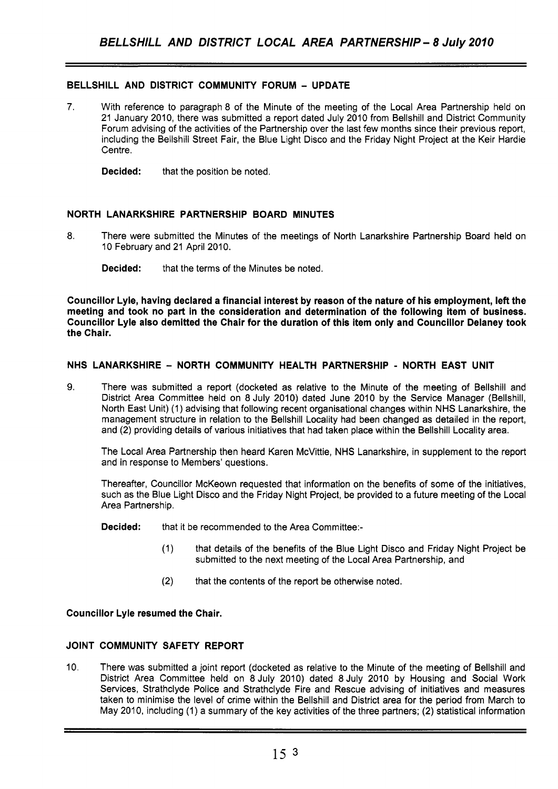## **BELLSHILL AND DISTRICT COMMUNITY FORUM** - **UPDATE**

**7.** With reference to paragraph 8 of the Minute of the meeting of the Local Area Partnership held on 21 January 2010, there was submitted a report dated July 2010 from Bellshill and District Community Forum advising of the activities of the Partnership over the last few months since their previous report, including the Bellshill Street Fair, the Blue Light Disco and the Friday Night Project at the Keir Hardie Centre.

**Decided:** that the position be noted.

## **NORTH LANARKSHIRE PARTNERSHIP BOARD MINUTES**

8. There were submitted the Minutes of the meetings of North Lanarkshire Partnership Board held on 10 February and 21 April 2010.

**Decided:** that the terms of the Minutes be noted.

**Councillor Lyle, having declared a financial interest by reason of the nature of his employment, left the meeting and took no part in the consideration and determination of the following item of business. Councillor Lyle also demitted the Chair for the duration of this item only and Councillor Delaney took the Chair.** 

## **NHS LANARKSHIRE** - **NORTH COMMUNITY HEALTH PARTNERSHIP** - **NORTH EAST UNIT**

**9.** There was submitted a report (docketed as relative to the Minute of the meeting of Bellshill and District Area Committee held on *8* July 2010) dated June 2010 by the Service Manager (Bellshill, North East Unit) (1) advising that following recent organisational changes within NHS Lanarkshire, the management structure in relation to the Bellshill Locality had been changed as detailed in the report, and (2) providing details of various initiatives that had taken place within the Bellshill Locality area.

The Local Area Partnership then heard Karen McVittie, NHS Lanarkshire, in supplement to the report and in response to Members' questions.

Thereafter, Councillor McKeown requested that information on the benefits of some of the initiatives, such as the Blue Light Disco and the Friday Night Project, be provided to a future meeting *of* the Local Area Partnership.

**Decided:** that it be recommended to the Area Committee:-

- (1) that details of the benefits of the Blue Light Disco and Friday Night Project be submitted to the next meeting of the Local Area Partnership, and
- (2) that the contents of the report be otherwise noted.

#### **Councillor Lyle resumed the Chair.**

## **JOINT COMMUNITY SAFETY REPORT**

10. There was submitted a joint report (docketed as relative to the Minute of the meeting of Bellshill and District Area Committee held on 8 July 2010) dated 8 July 2010 by Housing and Social Work Services, Strathclyde Police and Strathclyde Fire and Rescue advising of initiatives and measures taken to minimise the level of crime within the Bellshill and District area for the period from March to May 2010, including (1) a summary of the key activities of the three partners; (2) statistical information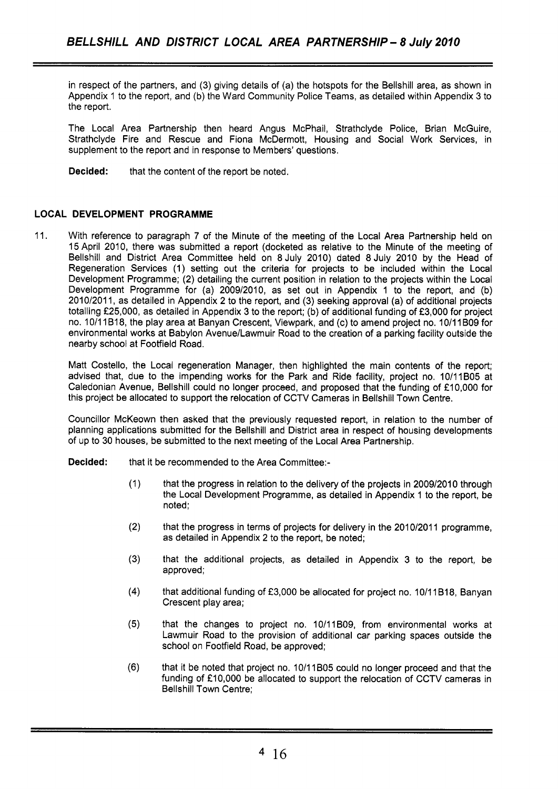in respect of the partners, and (3) giving details of (a) the hotspots for the Bellshill area, as shown in Appendix 1 to the report, and (b) the Ward Community Police Teams, as detailed within Appendix 3 to the report.

The Local Area Partnership then heard Angus McPhail, Strathclyde Police, Brian McGuire, Strathclyde Fire and Rescue and Fiona McDermott, Housing and Social Work Services, in supplement to the report and in response to Members' questions.

**Decided:** that the content of the report be noted.

## **LOCAL DEVELOPMENT PROGRAMME**

11. With reference to paragraph 7 of the Minute of the meeting of the Local Area Partnership held on 15April 2010, there was submitted a report (docketed as relative to the Minute of the meeting of Bellshill and District Area Committee held on 8 July 2010) dated 8 July 2010 by the Head of Regeneration Services (1) setting out the criteria for projects to be included within the Local Development Programme; (2) detailing the current position in relation to the projects within the Local Development Programme for (a) 2009/2010, as set out in Appendix 1 to the report, and (b) 2010/2011, as detailed in Appendix 2 to the report, and (3) seeking approval (a) of additional projects totalling £25,000, as detailed in Appendix 3 to the report; (b) of additional funding of £3,000 for project no. 10/11 B18, the play area at Banyan Crescent, Viewpark, and (c) to amend project no. 10/11 B09 for environmental works at Babylon Avenue/Lawmuir Road to the creation of **a** parking facility outside the nearby school at Footfield Road.

Matt Costello, the Local regeneration Manager, then highlighted the main contents of the report; advised that, due to the impending works for the Park and Ride facility, project no. 10/11B05 at Caledonian Avenue, Bellshill could no longer proceed, and proposed that the funding of £10,000 for this project be allocated to support the relocation of CCTV Cameras in Bellshill Town Centre.

Councillor McKeown then asked that the previously requested report, in relation to the number of planning applications submitted for the Bellshill and District area in respect of housing developments of up to 30 houses, be submitted to the next meeting of the Local Area Partnership.

**Decided:** that it be recommended to the Area Committee:-

- (1) that the progress in relation to the delivery of the projects in 2009/2010 through the Local Development Programme, as detailed in Appendix 1 to the report, be noted:
- $(2)$  that the progress in terms of projects for delivery in the 2010/2011 programme, as detailed in Appendix 2 to the report, be noted;
- **(3)** that the additional projects, as detailed in Appendix 3 to the report, be approved;
- **(4)** that additional funding of f3,000 be allocated for project no. 10/11B18, Banyan Crescent play area;
- **(5)** that the changes to project no. 10/11BO9, from environmental works at Lawmuir Road to the provision of additional car parking spaces outside the school on Footfield Road, be approved;
- (6) that it be noted that project no. 10/11 B05 could no longer proceed and that the funding of £10,000 be allocated to support the relocation of CCTV cameras in Bellshill Town Centre: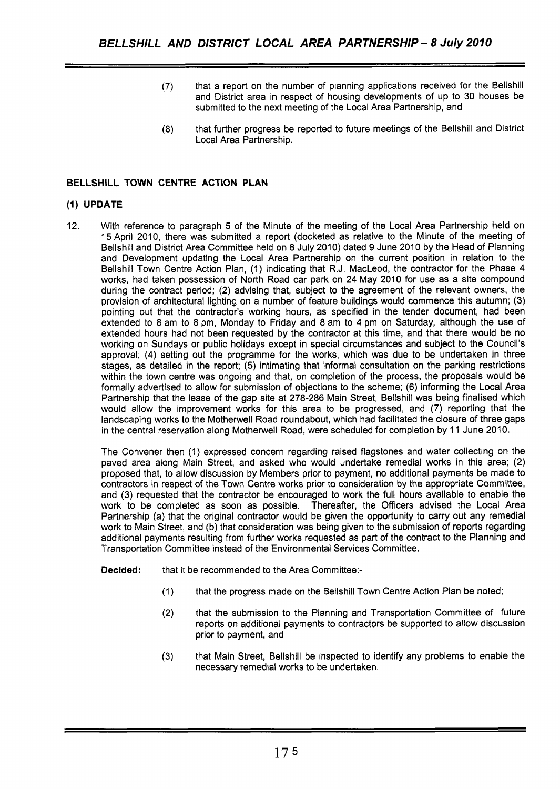- (7) that a report on the number of planning applications received for the Bellshill and District area in respect of housing developments of up to 30 houses be submitted to the next meeting of the Local Area Partnership, and
- (8) that further progress be reported to future meetings of the Bellshill and District Local Area Partnership.

## **BELLSHILL TOWN CENTRE ACTION PLAN**

#### **(1) UPDATE**

12. With reference to paragraph 5 of the Minute of the meeting of the Local Area Partnership held on 15 April 2010, there was submitted a report (docketed as relative to the Minute of the meeting of Bellshill and District Area Committee held on 8 July 2010) dated 9 June 2010 by the Head of Planning and Development updating the Local Area Partnership on the current position in relation to the Bellshill Town Centre Action Plan, (1) indicating that R.J. MacLeod, the contractor for the Phase 4 works, had taken possession of North Road car park on 24 May 2010 for use as a site compound during the contract period; (2) advising that, subject to the agreement of the relevant owners, the provision of architectural lighting on a number of feature buildings would commence this autumn; (3) pointing out that the contractor's working hours, as specified in the tender document, had been extended to *8* am to 8 pm, Monday to Friday and 8 am to 4 pm on Saturday, although the use of extended hours had not been requested by the contractor at this time, and that there would be no working on Sundays or public holidays except in special circumstances and subject to the Council's approval; (4) setting out the programme for the works, which was due to be undertaken in three stages, as detailed in the report; (5) intimating that informal consultation on the parking restrictions within the town centre was ongoing and that, on completion of the process, the proposals would be formally advertised to allow for submission of objections to the scheme; (6) informing the Local Area Partnership that the lease of the gap site at 278-286 Main Street, Bellshill was being finalised which would allow the improvement works for this area to be progressed, and (7) reporting that the landscaping works to the Motherwell Road roundabout, which had facilitated the closure of three gaps in the central reservation along Motherwell Road, were scheduled for completion by 11 June 2010.

The Convener then (1) expressed concern regarding raised flagstones and water collecting on the paved area along Main Street, and asked who would undertake remedial works in this area; (2) proposed that, to allow discussion by Members prior to payment, no additional payments be made to contractors in respect of the Town Centre works prior to consideration by the appropriate Committee, and (3) requested that the contractor be encouraged to work the full hours available to enable the work to be completed as soon as possible. Thereafter, the Officers advised the Local Area Partnership (a) that the original contractor would be given the opportunity to carry out any remedial work to Main Street, and (b) that consideration was being given to the submission of reports regarding additional payments resulting from further works requested as part of the contract to the Planning and Transportation Committee instead of the Environmental Services Committee.

**Decided:** that it be recommended to the Area Committee:-

- (1) that the progress made on the Bellshill Town Centre Action Plan be noted;
- (2) that the submission to the Planning and Transportation Committee of future reports on additional payments to contractors be supported to allow discussion prior to payment, and
- **(3)** that Main Street, Bellshill be inspected to identify any problems to enable the necessary remedial works to be undertaken.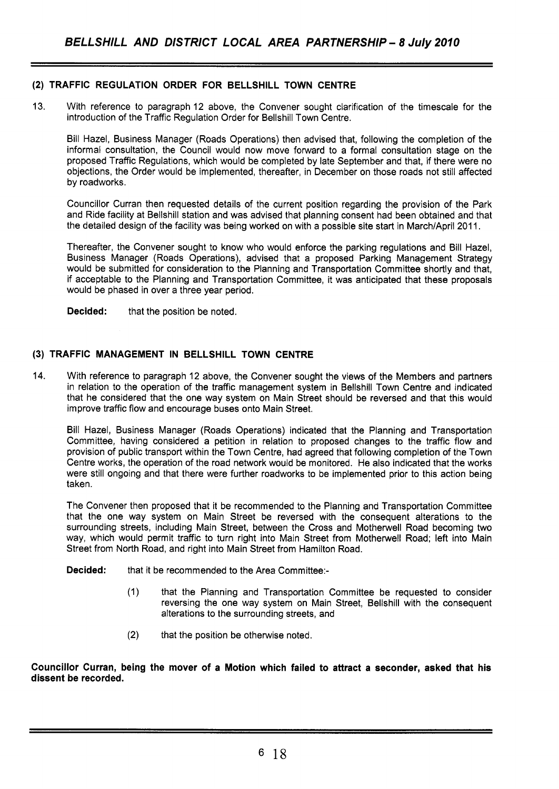## **(2) TRAFFIC REGULATION ORDER FOR BELLSHILL TOWN CENTRE**

13. With reference to paragraph 12 above, the Convener sought clarification of the timescale for the introduction of the Traffic Regulation Order for Bellshill Town Centre.

Bill Hazel, Business Manager (Roads Operations) then advised that, following the completion of the informal consultation, the Council would now move forward to a formal consultation stage on the proposed Traffic Regulations, which would be completed by late September and that, if there were no objections, the Order would be implemented, thereafter, in December on those roads not still affected by roadworks.

Councillor Curran then requested details of the current position regarding the provision of the Park and Ride facility at Bellshill station and was advised that planning consent had been obtained and that the detailed design of the facility was being worked on with a possible site start in March/April 2011.

Thereafter, the Convener sought to know who would enforce the parking regulations and Bill Hazel, Business Manager (Roads Operations), advised that a proposed Parking Management Strategy would be submitted for consideration to the Planning and Transportation Committee shortly and that, if acceptable to the Planning and Transportation Committee, it was anticipated that these proposals would be phased in over a three year period.

**Decided:** that the position be noted.

## **(3) TRAFFIC MANAGEMENT IN BELLSHILL TOWN CENTRE**

14. With reference to paragraph 12 above, the Convener sought the views of the Members and partners in relation to the operation of the traffic management system in Bellshill Town Centre and indicated that he considered that the one way system on Main Street should be reversed and that this would improve traffic flow and encourage buses onto Main Street.

Bill Hazel, Business Manager (Roads Operations) indicated that the Planning and Transportation Committee, having considered a petition in relation to proposed changes to the traffic flow and provision of public transport within the Town Centre, had agreed that following completion of the Town Centre works, the operation of the road network would be monitored. He also indicated that the works were still ongoing and that there were further roadworks to be implemented prior to this action being taken.

The Convener then proposed that it be recommended to the Planning and Transportation Committee that the one way system on Main Street be reversed with the consequent alterations to the surrounding streets, including Main Street, between the Cross and Motherwell Road becoming two way, which would permit traffic to turn right into Main Street from Motherwell Road; left into Main Street from North Road, and right into Main Street from Hamilton Road.

- **Decided:** that it be recommended to the Area Committee:-
	- (1) that the Planning and Transportation Committee be requested to consider reversing the one way system on Main Street, Bellshill with the consequent alterations to the surrounding streets, and
	- (2) that the position be otherwise noted.

**Councillor Curran, being the mover of a Motion which failed to attract a seconder, asked that his dissent be recorded.**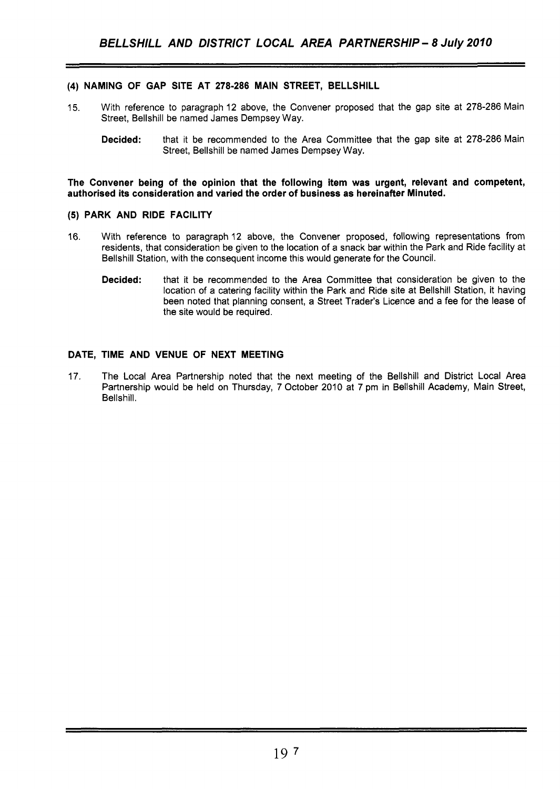## **(4) NAMING OF GAP SITE AT 278-286 MAIN STREET, BELLSHILL**

- 15. With reference to paragraph 12 above, the Convener proposed that the gap site at 278-286 Main Street, Bellshill be named James Dempsey Way.
	- **Decided:** that it be recommended to the Area Committee that the gap site at 278-286 Main Street, Bellshill be named James Dempsey Way.

**The Convener being of the opinion that the following item was urgent, relevant and competent, authorised its consideration and varied the order of business as hereinafter Minuted.** 

## **(5) PARK AND RIDE FACILITY**

- 16. With reference to paragraph 12 above, the Convener proposed, following representations from residents, that consideration be given to the location of a snack bar within the Park and Ride facility at Bellshill Station, with the consequent income this would generate for the Council.
	- **Decided:** that it be recommended to the Area Committee that consideration be given to the location of a catering facility within the Park and Ride site at Bellshill Station, it having been noted that planning consent, a Street Trader's Licence and a fee for the lease of the site would be required.

#### **DATE, TIME AND VENUE OF NEXT MEETING**

17. The Local Area Partnership noted that the next meeting of the Bellshill and District Local Area Partnership would be held on Thursday, 7 October 2010 at 7 pm in Bellshill Academy, Main Street, Bellshill.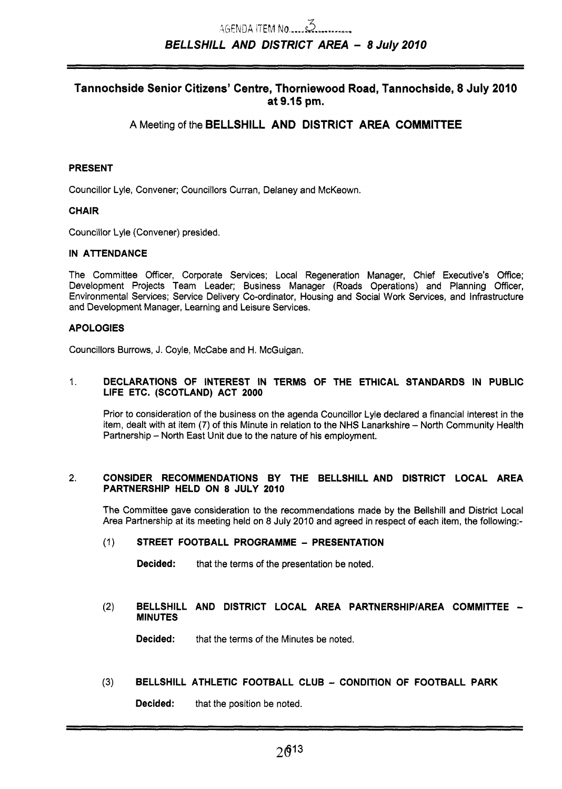## Tannochside Senior Citizens' Centre, Thorniewood Road, Tannochside, 8 July 2010 **at 9.15 pm.**

## **A** Meeting of the **BELLSHILL AND DISTRICT AREA COMMITTEE**

## **PRESENT**

Councillor Lyle, Convener; Councillors Curran, Delaney and McKeown.

#### **CHAIR**

Councillor Lyle (Convener) presided.

#### **IN ATTENDANCE**

The Committee Officer, Corporate Services; Local Regeneration Manager, Chief Executive's Office; Development Projects Team Leader; Business Manager (Roads Operations) and Planning Officer, Environmental Services; Service Delivery Co-ordinator, Housing and Social Work Services, and Infrastructure and Development Manager, Learning and Leisure Services.

#### **APOLOGIES**

Councillors Burrows, J. Coyle, McCabe and H. McGuigan.

#### 1. **DECLARATIONS OF INTEREST IN TERMS OF THE ETHICAL STANDARDS IN PUBLIC LIFE ETC. (SCOTLAND) ACT 2000**

Prior to consideration of the business on the agenda Councillor Lyle declared a financial interest in the item, dealt with at item (7) of this Minute in relation to the NHS Lanarkshire - North Community Health Partnership - North East Unit due to the nature of his employment.

#### **2. CONSIDER RECOMMENDATIONS BY THE BELLSHILL AND DISTRICT LOCAL AREA PARTNERSHIP HELD ON 8 JULY 2010**

The Committee gave consideration to the recommendations made by the Bellshill and District Local Area Partnership at its meeting held on *8* July 2010 and agreed in respect of each item, the following:-

#### (1 ) **STREET FOOTBALL PROGRAMME** - **PRESENTATION**

**Decided:** that the terms of the presentation be noted.

#### **(2) BELLSHILL AND DISTRICT LOCAL AREA PARTNERSHIPIAREA COMMITTEE** - **MINUTES**

**Decided:** that the terms of the Minutes be noted.

## **(3) BELLSHILL ATHLETIC FOOTBALL CLUB** - **CONDITION OF FOOTBALL PARK**

**Decided:** that the position be noted.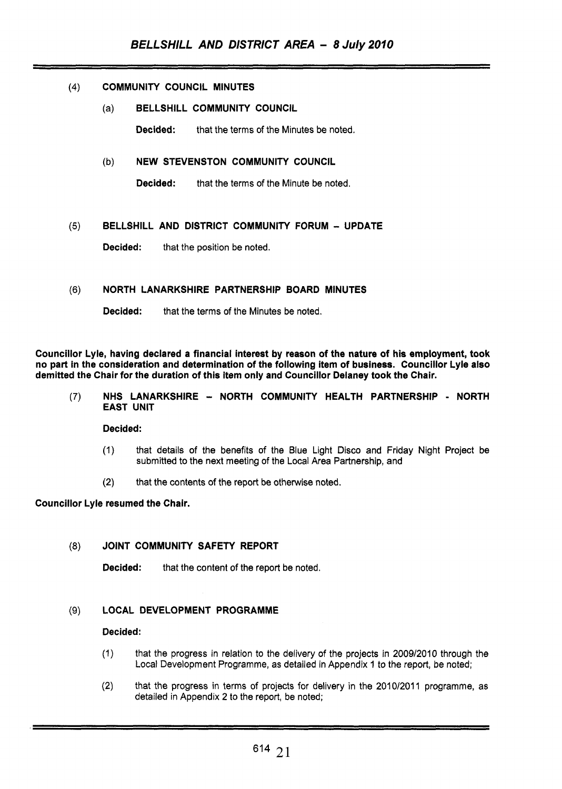#### (4) COMMUNITY COUNCIL MINUTES

### (a) BELLSHILL COMMUNITY COUNCIL

Decided: that the terms of the Minutes be noted.

#### (b) NEW STEVENSTON COMMUNITY COUNCIL

**Decided:** that the terms of the Minute be noted.

## *(5)* BELLSHILL AND DISTRICT COMMUNITY FORUM - UPDATE

Decided: that the position be noted.

#### **(6)** NORTH LANARKSHIRE PARTNERSHIP BOARD MINUTES

Decided: that the terms of the Minutes be noted.

Councillor Lyle, having declared a financial interest by reason of the nature of his employment, took no part in the consideration and determination of the following item of business. Councillor Lyle also demitted the Chair for the duration of this item only and Councillor Delaney took the Chair.

#### (7) NHS LANARKSHIRE - NORTH COMMUNITY HEALTH PARTNERSHIP - NORTH EAST UNIT

Decided:

- (1) that details of the benefits of the Blue Light Disco and Friday Night Project be submitted to the next meeting of the Local Area Partnership, and
- (2) that the contents of the report be otherwise noted.

#### Councillor Lyle resumed the Chair.

#### (8) JOINT COMMUNITY SAFETY REPORT

**Decided:** that the content of the report be noted.

## (9) LOCAL DEVELOPMENT PROGRAMME

#### Decided:

- (1) that the progress in relation to the delivery of the projects in 2009/2010 through the Local Development Programme, as detailed in Appendix 1 to the report, be noted;
- **(2)** that the progress in terms of projects for delivery in the 201 0/2011 programme, as detailed in Appendix **2** to the report, be noted;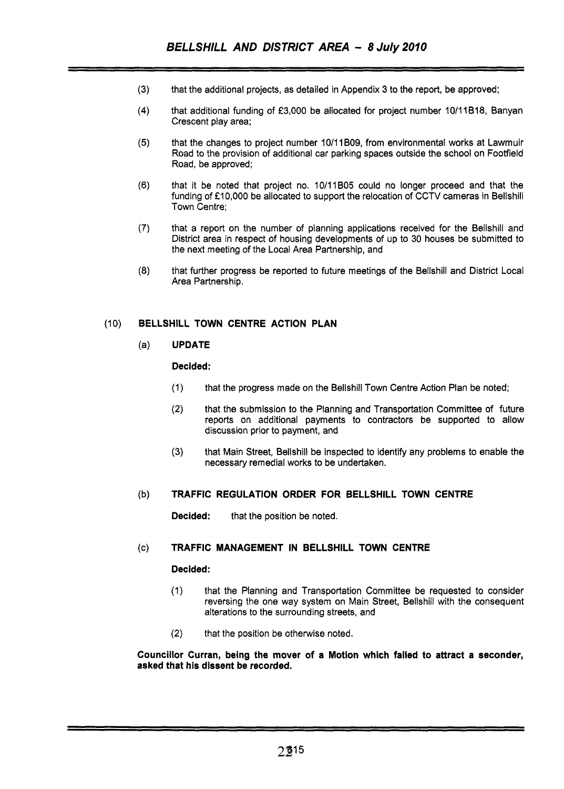- **(3)**  that the additional projects, as detailed in Appendix 3 to the report, be approved;
- **(4)**  that additional funding of *f3,000* be allocated for project number 10/11B18, Banyan Crescent play area;
- **(5)** that the changes to project number 10/11 B09, from environmental works at Lawmuir Road to the provision of additional car parking spaces outside the school on Footfield Road, be approved;
- **(6)** that it be noted that project no. 10/11B05 could no longer proceed and that the funding of £10,000 be allocated to support the relocation of CCTV cameras in Bellshill Town Centre:
- **(7)** that a report on the number of planning applications received for the Bellshill and District area in respect of housing developments of up to 30 houses be submitted to the next meeting of the Local Area Partnership, and
- *(8)* that further progress be reported to future meetings of the Bellshill and District Local Area Partnership.

## (10) **BELLSHILL TOWN CENTRE ACTION PLAN**

## (a) **UPDATE**

#### **Decided:**

- (1) that the progress made on the Bellshill Town Centre Action Plan be noted;
- **(2)** that the submission to the Planning and Transportation Committee of future reports on additional payments to contractors be supported to allow discussion prior to payment, and
- **(3)** that Main Street, Bellshill be inspected to identify any problems to enable the necessary remedial works to be undertaken.

#### (b) **TRAFFIC REGULATION ORDER FOR BELLSHILL TOWN CENTRE**

**Decided:** that the position be noted.

## (c) **TRAFFIC MANAGEMENT IN BELLSHILL TOWN CENTRE**

#### **Decided:**

- (1) that the Planning and Transportation Committee be requested to consider reversing the one way system on Main Street, Bellshill with the consequent alterations to the surrounding streets, and
- **(2)** that the position be otherwise noted.

#### **Councillor Curran, being the mover of a Motion which failed to attract a seconder, asked that his dissent be recorded.**